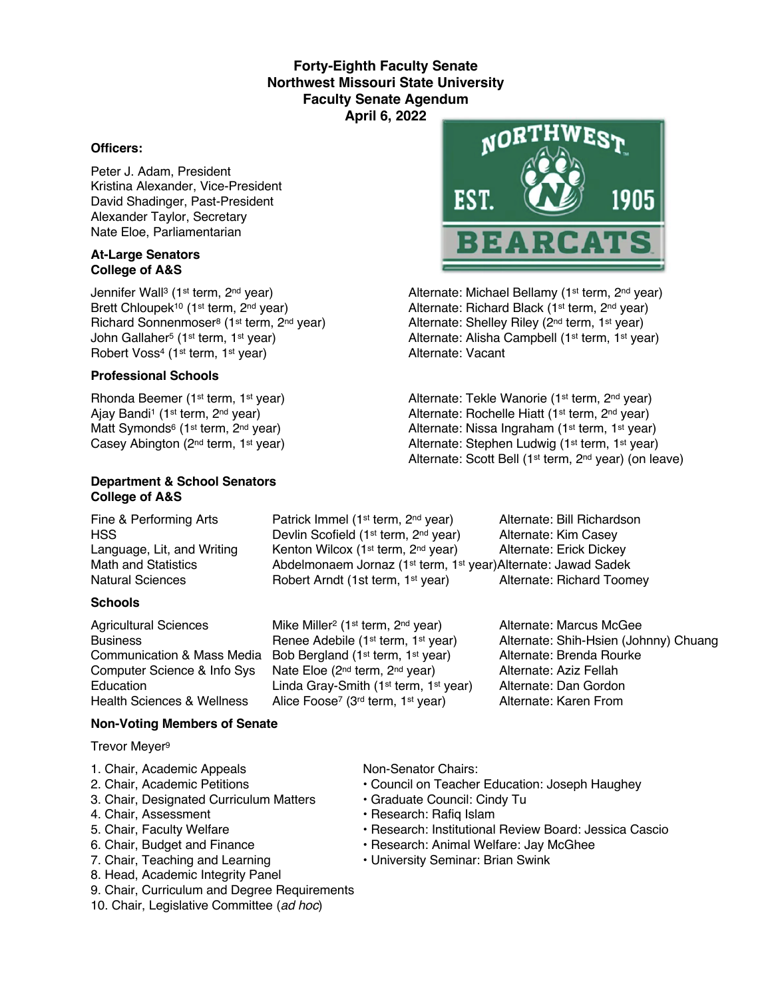## **Forty-Eighth Faculty Senate Northwest Missouri State University Faculty Senate Agendum April 6, 2022**

#### **Officers:**

Peter J. Adam, President Kristina Alexander, Vice-President David Shadinger, Past-President Alexander Taylor, Secretary Nate Eloe, Parliamentarian

#### **At-Large Senators College of A&S**

Robert Voss<sup>4</sup> (1<sup>st</sup> term, 1<sup>st</sup> year)

### **Professional Schools**

#### **Department & School Senators College of A&S**

Fine & Performing Arts **Patrick Immel (1st term, 2nd year)** Alternate: Bill Richardson

### **Schools**

# HSS **EXECUTE:** Devlin Scofield (1<sup>st</sup> term, 2<sup>nd</sup> year) Alternate: Kim Casey Language, Lit, and Writing Kenton Wilcox (1<sup>st</sup> term, 2<sup>nd</sup> year) Alternate: Erick Dickey Math and Statistics **Abdelmonaem Jornaz (1st term, 1st year)Alternate: Jawad Sadek** Natural Sciences **Robert Arndt (1st term, 1st year)** Alternate: Richard Toomey

Agricultural Sciences Mike Miller<sup>2</sup> (1<sup>st</sup> term, 2<sup>nd</sup> year) Alternate: Marcus McGee Communication & Mass Media Bob Bergland (1st term, 1st year) Alternate: Brenda Rourke Computer Science & Info Sys Nate Eloe (2<sup>nd</sup> term, 2<sup>nd</sup> year) Alternate: Aziz Fellah<br>Education Linda Grav-Smith (1<sup>st</sup> term, 1<sup>st</sup> year) Alternate: Dan Gordon Education Linda Gray-Smith (1<sup>st</sup> term, 1<sup>st</sup> year) Alternate: Dan Gordon<br>Health Sciences & Wellness Alice Foose<sup>7</sup> (3<sup>rd</sup> term, 1<sup>st</sup> year) Alternate: Karen From Alice Foose<sup>7</sup> (3<sup>rd</sup> term, 1<sup>st</sup> year)



Jennifer Wall<sup>3</sup> (1<sup>st</sup> term, 2<sup>nd</sup> year) Alternate: Michael Bellamy (1<sup>st</sup> term, 2<sup>nd</sup> year) Brett Chloupek<sup>10</sup> (1<sup>st</sup> term, 2<sup>nd</sup> year) Alternate: Richard Black (1<sup>st</sup> term, 2<sup>nd</sup> year) Richard Sonnenmoser<sup>8</sup> (1<sup>st</sup> term, 2<sup>nd</sup> year) Alternate: Shelley Riley (2<sup>nd</sup> term, 1<sup>st</sup> year) John Gallaher<sup>5</sup> (1st term, 1st year) Alternate: Alisha Campbell (1st term, 1st year)<br>
Alternate: Vacant<br>
Alternate: Vacant

Rhonda Beemer (1<sup>st</sup> term, 1<sup>st</sup> year) Alternate: Tekle Wanorie (1<sup>st</sup> term, 2<sup>nd</sup> year) Ajay Bandi<sup>1</sup> (1<sup>st</sup> term, 2<sup>nd</sup> year) Alternate: Rochelle Hiatt (1<sup>st</sup> term, 2<sup>nd</sup> year) Matt Symonds<sup>6</sup> (1<sup>st</sup> term, 2<sup>nd</sup> year) <br>Casey Abington (2<sup>nd</sup> term, 1<sup>st</sup> year) <br>Alternate: Stephen Ludwig (1<sup>st</sup> term, 1<sup>st</sup> year) Alternate: Stephen Ludwig (1st term, 1st year) Alternate: Scott Bell (1st term, 2nd year) (on leave)

Business **Renee Adebile (1st term, 1st year)** Alternate: Shih-Hsien (Johnny) Chuang

### **Non-Voting Members of Senate**

Trevor Meyer9

- 1. Chair, Academic Appeals Non-Senator Chairs:
- 
- 3. Chair, Designated Curriculum Matters Graduate Council: Cindy Tu
- 4. Chair, Assessment **Francisco Exercise Research: Rafiq Islam**
- 
- 
- 
- 8. Head, Academic Integrity Panel
- 9. Chair, Curriculum and Degree Requirements
- 10. Chair, Legislative Committee (*ad hoc*)

- 2. Chair, Academic Petitions Council on Teacher Education: Joseph Haughey
	-
	-
- 5. Chair, Faculty Welfare The State of Pessarch: Institutional Review Board: Jessica Cascio
- 6. Chair, Budget and Finance  **Research: Animal Welfare: Jay McGhee**
- 7. Chair, Teaching and Learning  **University Seminar: Brian Swink**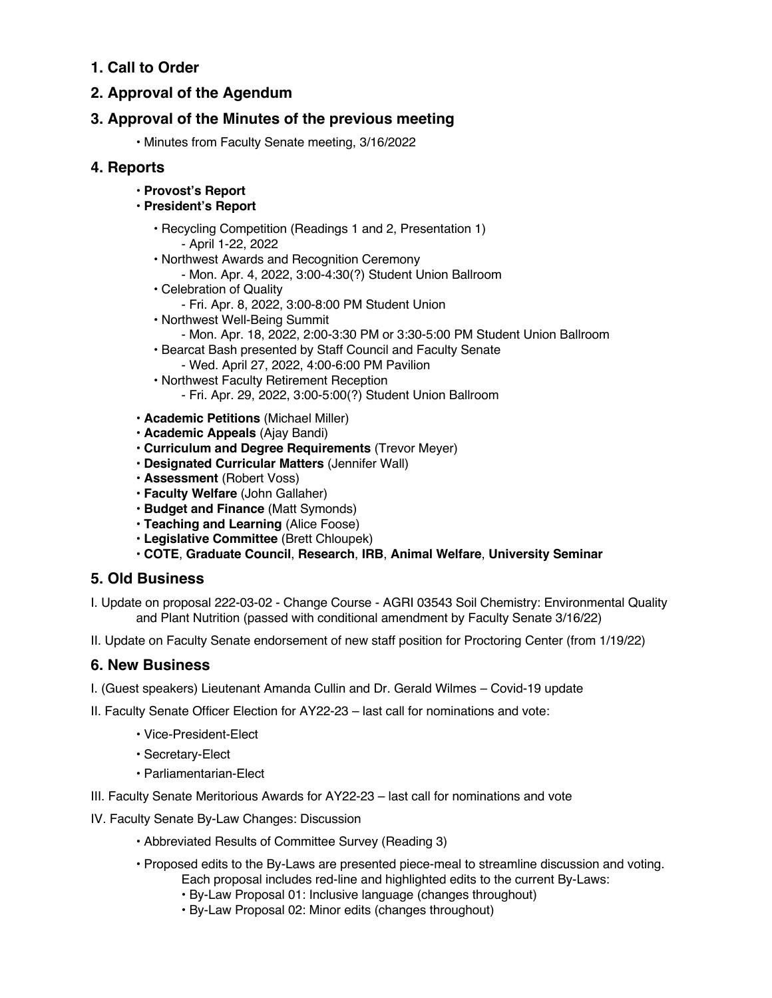# **1. Call to Order**

# **2. Approval of the Agendum**

# **3. Approval of the Minutes of the previous meeting**

• Minutes from Faculty Senate meeting, 3/16/2022

## **4. Reports**

- **Provost's Report**
- **President's Report**
	- Recycling Competition (Readings 1 and 2, Presentation 1) - April 1-22, 2022
	- Northwest Awards and Recognition Ceremony
		- Mon. Apr. 4, 2022, 3:00-4:30(?) Student Union Ballroom
	- Celebration of Quality
		- Fri. Apr. 8, 2022, 3:00-8:00 PM Student Union
	- Northwest Well-Being Summit
		- Mon. Apr. 18, 2022, 2:00-3:30 PM or 3:30-5:00 PM Student Union Ballroom
	- Bearcat Bash presented by Staff Council and Faculty Senate - Wed. April 27, 2022, 4:00-6:00 PM Pavilion
	- Northwest Faculty Retirement Reception - Fri. Apr. 29, 2022, 3:00-5:00(?) Student Union Ballroom
- **Academic Petitions** (Michael Miller)
- **Academic Appeals** (Ajay Bandi)
- **Curriculum and Degree Requirements** (Trevor Meyer)
- **Designated Curricular Matters** (Jennifer Wall)
- **Assessment** (Robert Voss)
- **Faculty Welfare** (John Gallaher)
- **Budget and Finance** (Matt Symonds)
- **Teaching and Learning** (Alice Foose)
- **Legislative Committee** (Brett Chloupek)
- **COTE**, **Graduate Council**, **Research**, **IRB**, **Animal Welfare**, **University Seminar**

## **5. Old Business**

II. Update on Faculty Senate endorsement of new staff position for Proctoring Center (from 1/19/22)

## **6. New Business**

- I. (Guest speakers) Lieutenant Amanda Cullin and Dr. Gerald Wilmes Covid-19 update
- II. Faculty Senate Officer Election for AY22-23 last call for nominations and vote:
	- Vice-President-Elect
	- Secretary-Elect
	- Parliamentarian-Elect
- III. Faculty Senate Meritorious Awards for AY22-23 last call for nominations and vote
- IV. Faculty Senate By-Law Changes: Discussion
	- Abbreviated Results of Committee Survey (Reading 3)
	- Proposed edits to the By-Laws are presented piece-meal to streamline discussion and voting. Each proposal includes red-line and highlighted edits to the current By-Laws:
		- By-Law Proposal 01: Inclusive language (changes throughout)
		- By-Law Proposal 02: Minor edits (changes throughout)

I. Update on proposal 222-03-02 - Change Course - AGRI 03543 Soil Chemistry: Environmental Quality and Plant Nutrition (passed with conditional amendment by Faculty Senate 3/16/22)